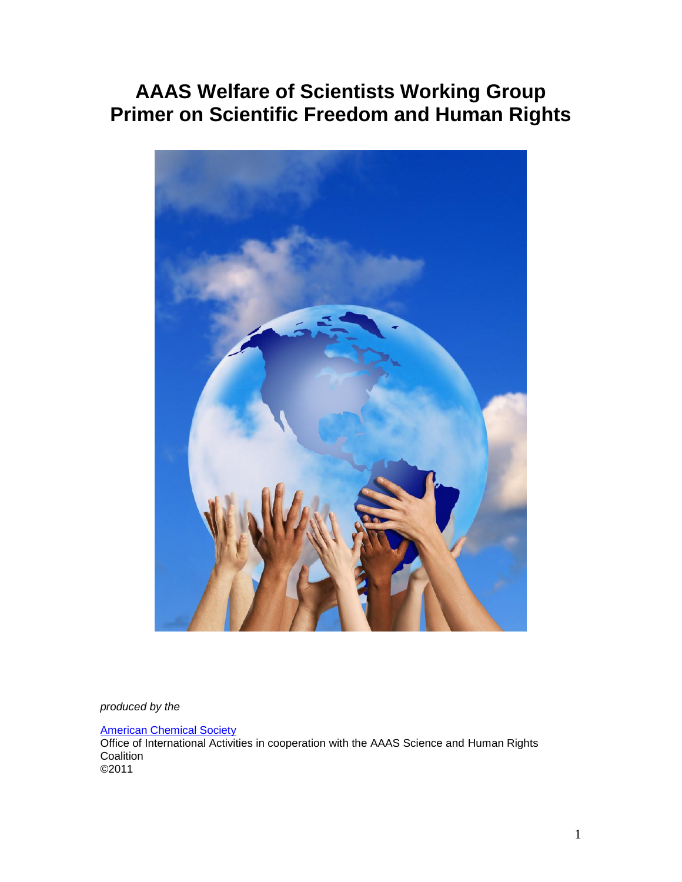# **AAAS Welfare of Scientists Working Group Primer on Scientific Freedom and Human Rights**



*produced by the*

[American Chemical Society](http://www.acs.org/international)

Office of International Activities in cooperation with the AAAS Science and Human Rights **Coalition** ©2011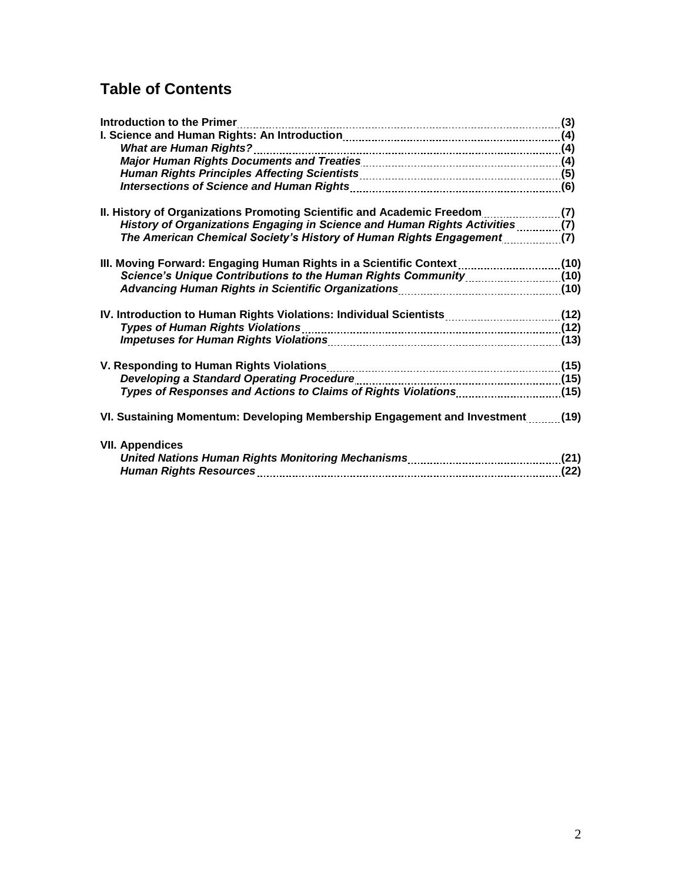# **Table of Contents**

| <b>Introduction to the Primer</b>                                                                              |      |
|----------------------------------------------------------------------------------------------------------------|------|
|                                                                                                                |      |
|                                                                                                                |      |
|                                                                                                                |      |
|                                                                                                                |      |
|                                                                                                                |      |
| II. History of Organizations Promoting Scientific and Academic Freedom [11, 2016]                              |      |
| History of Organizations Engaging in Science and Human Rights Activities(7)                                    |      |
| The American Chemical Society's History of Human Rights Engagement [[[[[[[[[[[[[[                              |      |
| III. Moving Forward: Engaging Human Rights in a Scientific Context (10)                                        |      |
|                                                                                                                |      |
|                                                                                                                |      |
|                                                                                                                |      |
| Types of Human Rights Violations [12] 79 - 2014 19:00 12:00 12:00 12:00 14:00 14:00 14:00 14:00 14:00 15:00 15 |      |
|                                                                                                                |      |
| V. Responding to Human Rights Violations [19] W. Responding to Human Rights Violations [19] V. Responding to H |      |
|                                                                                                                |      |
|                                                                                                                |      |
| VI. Sustaining Momentum: Developing Membership Engagement and Investment(19)                                   |      |
| <b>VII. Appendices</b>                                                                                         |      |
|                                                                                                                |      |
|                                                                                                                | (22) |
|                                                                                                                |      |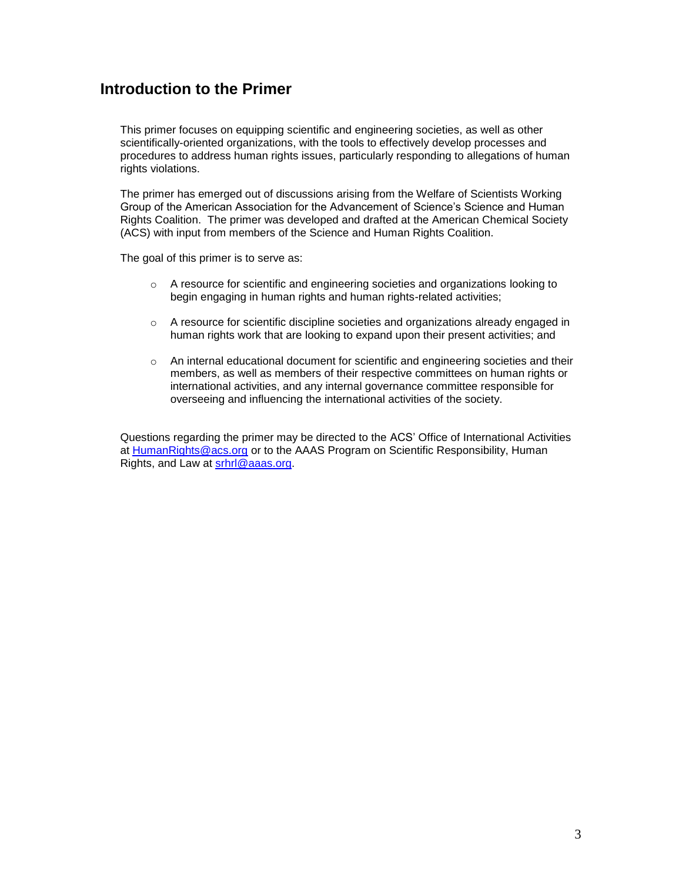# **Introduction to the Primer**

This primer focuses on equipping scientific and engineering societies, as well as other scientifically-oriented organizations, with the tools to effectively develop processes and procedures to address human rights issues, particularly responding to allegations of human rights violations.

The primer has emerged out of discussions arising from the Welfare of Scientists Working Group of the American Association for the Advancement of Science's Science and Human Rights Coalition. The primer was developed and drafted at the American Chemical Society (ACS) with input from members of the Science and Human Rights Coalition.

The goal of this primer is to serve as:

- o A resource for scientific and engineering societies and organizations looking to begin engaging in human rights and human rights-related activities;
- $\circ$  A resource for scientific discipline societies and organizations already engaged in human rights work that are looking to expand upon their present activities; and
- o An internal educational document for scientific and engineering societies and their members, as well as members of their respective committees on human rights or international activities, and any internal governance committee responsible for overseeing and influencing the international activities of the society.

Questions regarding the primer may be directed to the ACS' Office of International Activities at [HumanRights@acs.org](mailto:HumanRights@acs.org) or to the AAAS Program on Scientific Responsibility, Human Rights, and Law at [srhrl@aaas.org.](mailto:srhrl@aaas.org)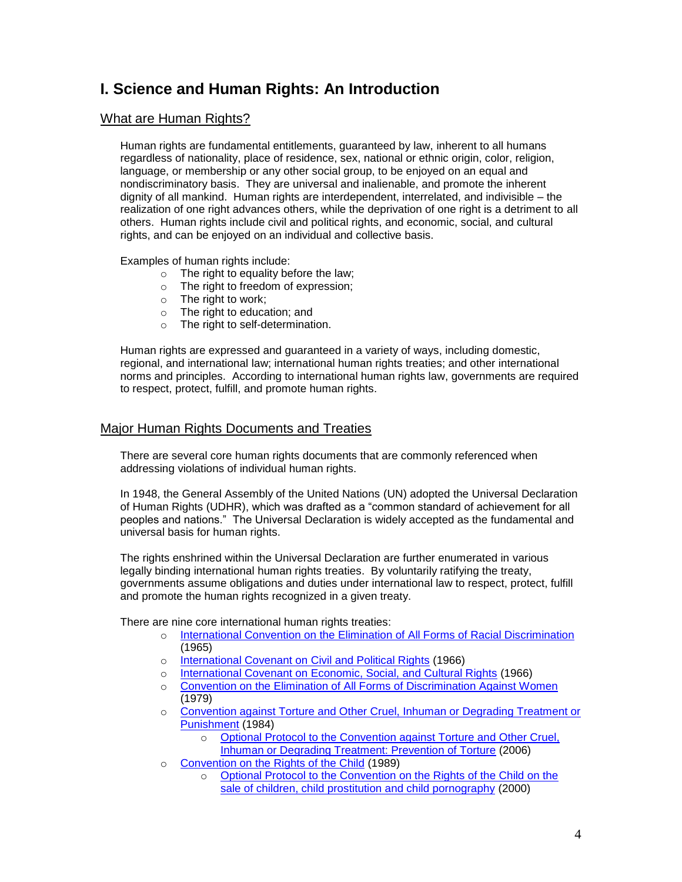# **I. Science and Human Rights: An Introduction**

## What are Human Rights?

Human rights are fundamental entitlements, guaranteed by law, inherent to all humans regardless of nationality, place of residence, sex, national or ethnic origin, color, religion, language, or membership or any other social group, to be enjoyed on an equal and nondiscriminatory basis. They are universal and inalienable, and promote the inherent dignity of all mankind. Human rights are interdependent, interrelated, and indivisible – the realization of one right advances others, while the deprivation of one right is a detriment to all others. Human rights include civil and political rights, and economic, social, and cultural rights, and can be enjoyed on an individual and collective basis.

Examples of human rights include:

- $\circ$  The right to equality before the law;
- o The right to freedom of expression;
- o The right to work;
- o The right to education; and
- o The right to self-determination.

Human rights are expressed and guaranteed in a variety of ways, including domestic, regional, and international law; international human rights treaties; and other international norms and principles. According to international human rights law, governments are required to respect, protect, fulfill, and promote human rights.

### Major Human Rights Documents and Treaties

There are several core human rights documents that are commonly referenced when addressing violations of individual human rights.

In 1948, the General Assembly of the United Nations (UN) adopted the Universal Declaration of Human Rights (UDHR), which was drafted as a "common standard of achievement for all peoples and nations." The Universal Declaration is widely accepted as the fundamental and universal basis for human rights.

The rights enshrined within the Universal Declaration are further enumerated in various legally binding international human rights treaties. By voluntarily ratifying the treaty, governments assume obligations and duties under international law to respect, protect, fulfill and promote the human rights recognized in a given treaty.

There are nine core international human rights treaties:

- o [International Convention on the Elimination of All Forms of Racial Discrimination](http://www2.ohchr.org/english/law/cerd.htm) (1965)
- o [International Covenant on Civil and Political Rights](http://www2.ohchr.org/english/law/ccpr.htm) (1966)
- o [International Covenant on Economic, Social, and Cultural Rights](http://www2.ohchr.org/english/law/cescr.htm) (1966)
- o [Convention on the Elimination of All Forms of Discrimination Against Women](http://www2.ohchr.org/english/law/cedaw.htm) (1979)
- o [Convention against Torture and Other Cruel, Inhuman or Degrading Treatment or](http://www2.ohchr.org/english/law/cat.htm)  [Punishment](http://www2.ohchr.org/english/law/cat.htm) (1984)
	- o [Optional Protocol to the Convention against Torture and Other Cruel,](http://www2.ohchr.org/english/law/cat-one.htm)  [Inhuman or Degrading Treatment: Prevention of Torture](http://www2.ohchr.org/english/law/cat-one.htm) (2006)
- o [Convention on the Rights of the Child](http://www2.ohchr.org/english/law/crc.htm) (1989)
	- o [Optional Protocol to the Convention on the Rights of the Child on the](http://www2.ohchr.org/english/law/crc-sale.htm)  [sale of children, child prostitution and child pornography](http://www2.ohchr.org/english/law/crc-sale.htm) (2000)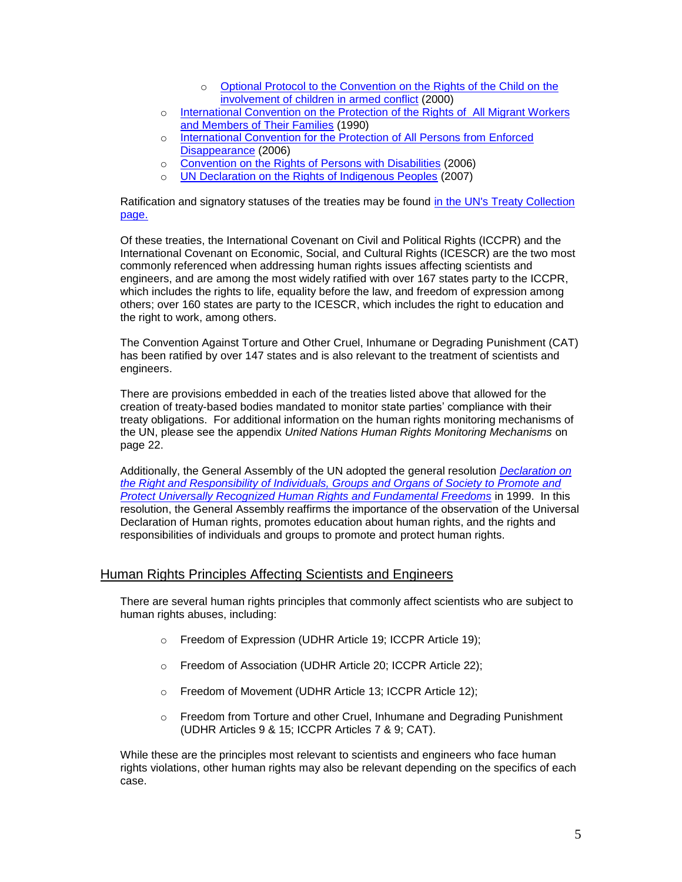- o [Optional Protocol to the Convention on the Rights of the Child on the](http://www2.ohchr.org/english/law/crc-conflict.htm)  [involvement of children in armed conflict](http://www2.ohchr.org/english/law/crc-conflict.htm) (2000)
- o [International Convention on the Protection of the Rights of All Migrant Workers](http://www2.ohchr.org/english/law/cmw.htm) [and Members of Their Families](http://www2.ohchr.org/english/law/cmw.htm) (1990)
- o [International Convention for the Protection of All Persons from Enforced](http://www2.ohchr.org/english/law/disappearance-convention.htm)  [Disappearance](http://www2.ohchr.org/english/law/disappearance-convention.htm) (2006)
- o [Convention on the Rights of Persons with Disabilities](http://www.un.org/disabilities/convention/conventionfull.shtml) (2006)
- o [UN Declaration on the Rights of Indigenous Peoples](http://www.un.org/esa/socdev/unpfii/en/declaration.html) (2007)

Ratification and signatory statuses of the treaties may be found in the UN's Treaty Collection [page.](http://treaties.un.org/pages/Treaties.aspx?id=4&subid=A&lang=en) 

Of these treaties, the International Covenant on Civil and Political Rights (ICCPR) and the International Covenant on Economic, Social, and Cultural Rights (ICESCR) are the two most commonly referenced when addressing human rights issues affecting scientists and engineers, and are among the most widely ratified with over 167 states party to the ICCPR, which includes the rights to life, equality before the law, and freedom of expression among others; over 160 states are party to the ICESCR, which includes the right to education and the right to work, among others.

The Convention Against Torture and Other Cruel, Inhumane or Degrading Punishment (CAT) has been ratified by over 147 states and is also relevant to the treatment of scientists and engineers.

There are provisions embedded in each of the treaties listed above that allowed for the creation of treaty-based bodies mandated to monitor state parties' compliance with their treaty obligations. For additional information on the human rights monitoring mechanisms of the UN, please see the appendix *United Nations Human Rights Monitoring Mechanisms* on page 22.

Additionally, the General Assembly of the UN adopted the general resolution *[Declaration on](http://www.unhchr.ch/huridocda/huridoca.nsf/(symbol)/a.res.53.144.en)  [the Right and Responsibility of Individuals, Groups and Organs of Society to Promote and](http://www.unhchr.ch/huridocda/huridoca.nsf/(symbol)/a.res.53.144.en)  [Protect Universally Recognized Human Rights and Fundamental Freedoms](http://www.unhchr.ch/huridocda/huridoca.nsf/(symbol)/a.res.53.144.en)* in 1999. In this resolution, the General Assembly reaffirms the importance of the observation of the Universal Declaration of Human rights, promotes education about human rights, and the rights and responsibilities of individuals and groups to promote and protect human rights.

## Human Rights Principles Affecting Scientists and Engineers

There are several human rights principles that commonly affect scientists who are subject to human rights abuses, including:

- o Freedom of Expression (UDHR Article 19; ICCPR Article 19);
- o Freedom of Association (UDHR Article 20; ICCPR Article 22);
- o Freedom of Movement (UDHR Article 13; ICCPR Article 12);
- $\circ$  Freedom from Torture and other Cruel, Inhumane and Degrading Punishment (UDHR Articles 9 & 15; ICCPR Articles 7 & 9; CAT).

While these are the principles most relevant to scientists and engineers who face human rights violations, other human rights may also be relevant depending on the specifics of each case.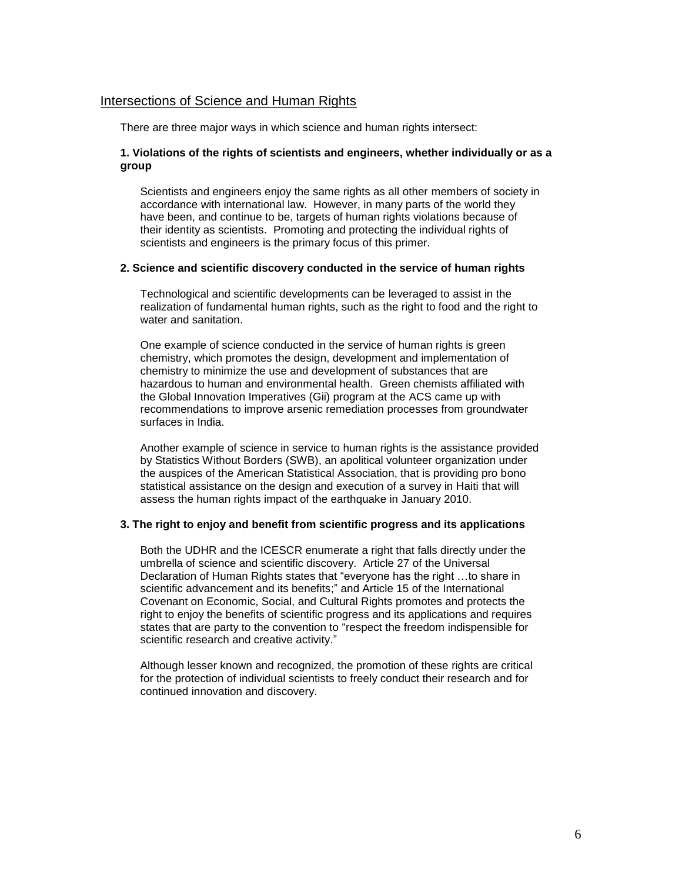#### Intersections of Science and Human Rights

There are three major ways in which science and human rights intersect:

#### **1. Violations of the rights of scientists and engineers, whether individually or as a group**

Scientists and engineers enjoy the same rights as all other members of society in accordance with international law. However, in many parts of the world they have been, and continue to be, targets of human rights violations because of their identity as scientists. Promoting and protecting the individual rights of scientists and engineers is the primary focus of this primer.

#### **2. Science and scientific discovery conducted in the service of human rights**

Technological and scientific developments can be leveraged to assist in the realization of fundamental human rights, such as the right to food and the right to water and sanitation.

One example of science conducted in the service of human rights is green chemistry, which promotes the design, development and implementation of chemistry to minimize the use and development of substances that are hazardous to human and environmental health. Green chemists affiliated with the Global Innovation Imperatives (Gii) program at the ACS came up with recommendations to improve arsenic remediation processes from groundwater surfaces in India.

Another example of science in service to human rights is the assistance provided by Statistics Without Borders (SWB), an apolitical volunteer organization under the auspices of the American Statistical Association, that is providing pro bono statistical assistance on the design and execution of a survey in Haiti that will assess the human rights impact of the earthquake in January 2010.

#### **3. The right to enjoy and benefit from scientific progress and its applications**

Both the UDHR and the ICESCR enumerate a right that falls directly under the umbrella of science and scientific discovery. Article 27 of the Universal Declaration of Human Rights states that "everyone has the right …to share in scientific advancement and its benefits;" and Article 15 of the International Covenant on Economic, Social, and Cultural Rights promotes and protects the right to enjoy the benefits of scientific progress and its applications and requires states that are party to the convention to "respect the freedom indispensible for scientific research and creative activity."

Although lesser known and recognized, the promotion of these rights are critical for the protection of individual scientists to freely conduct their research and for continued innovation and discovery.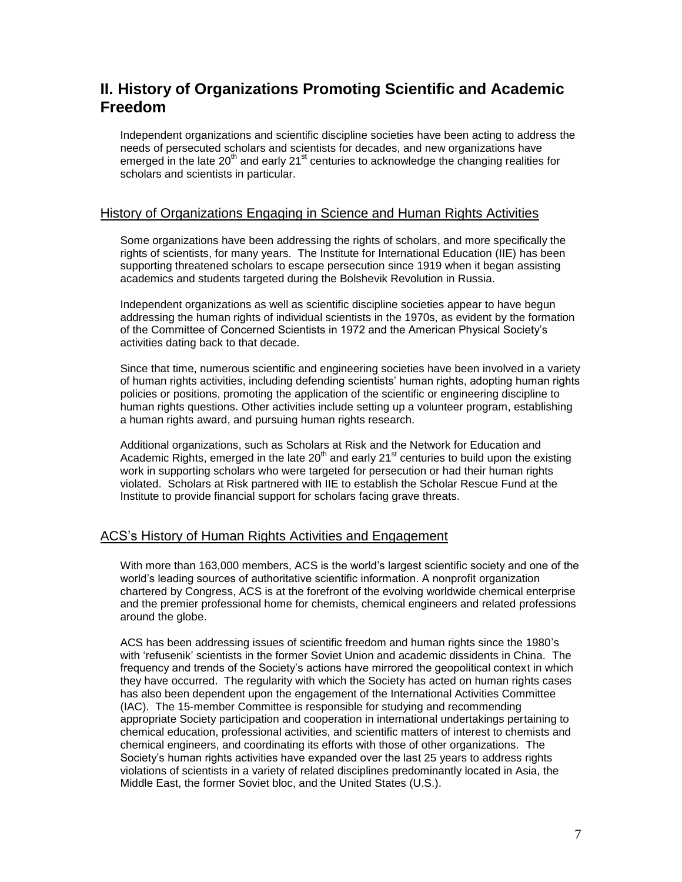# **II. History of Organizations Promoting Scientific and Academic Freedom**

Independent organizations and scientific discipline societies have been acting to address the needs of persecuted scholars and scientists for decades, and new organizations have emerged in the late 20<sup>th</sup> and early 21<sup>st</sup> centuries to acknowledge the changing realities for scholars and scientists in particular.

### History of Organizations Engaging in Science and Human Rights Activities

Some organizations have been addressing the rights of scholars, and more specifically the rights of scientists, for many years. The Institute for International Education (IIE) has been supporting threatened scholars to escape persecution since 1919 when it began assisting academics and students targeted during the Bolshevik Revolution in Russia.

Independent organizations as well as scientific discipline societies appear to have begun addressing the human rights of individual scientists in the 1970s, as evident by the formation of the Committee of Concerned Scientists in 1972 and the American Physical Society's activities dating back to that decade.

Since that time, numerous scientific and engineering societies have been involved in a variety of human rights activities, including defending scientists' human rights, adopting human rights policies or positions, promoting the application of the scientific or engineering discipline to human rights questions. Other activities include setting up a volunteer program, establishing a human rights award, and pursuing human rights research.

Additional organizations, such as Scholars at Risk and the Network for Education and Academic Rights, emerged in the late  $20<sup>th</sup>$  and early  $21<sup>st</sup>$  centuries to build upon the existing work in supporting scholars who were targeted for persecution or had their human rights violated. Scholars at Risk partnered with IIE to establish the Scholar Rescue Fund at the Institute to provide financial support for scholars facing grave threats.

## ACS's History of Human Rights Activities and Engagement

With more than 163,000 members, ACS is the world's largest scientific society and one of the world's leading sources of authoritative scientific information. A nonprofit organization chartered by Congress, ACS is at the forefront of the evolving worldwide chemical enterprise and the premier professional home for chemists, chemical engineers and related professions around the globe.

ACS has been addressing issues of scientific freedom and human rights since the 1980's with 'refusenik' scientists in the former Soviet Union and academic dissidents in China. The frequency and trends of the Society's actions have mirrored the geopolitical context in which they have occurred. The regularity with which the Society has acted on human rights cases has also been dependent upon the engagement of the International Activities Committee (IAC). The 15-member Committee is responsible for studying and recommending appropriate Society participation and cooperation in international undertakings pertaining to chemical education, professional activities, and scientific matters of interest to chemists and chemical engineers, and coordinating its efforts with those of other organizations. The Society's human rights activities have expanded over the last 25 years to address rights violations of scientists in a variety of related disciplines predominantly located in Asia, the Middle East, the former Soviet bloc, and the United States (U.S.).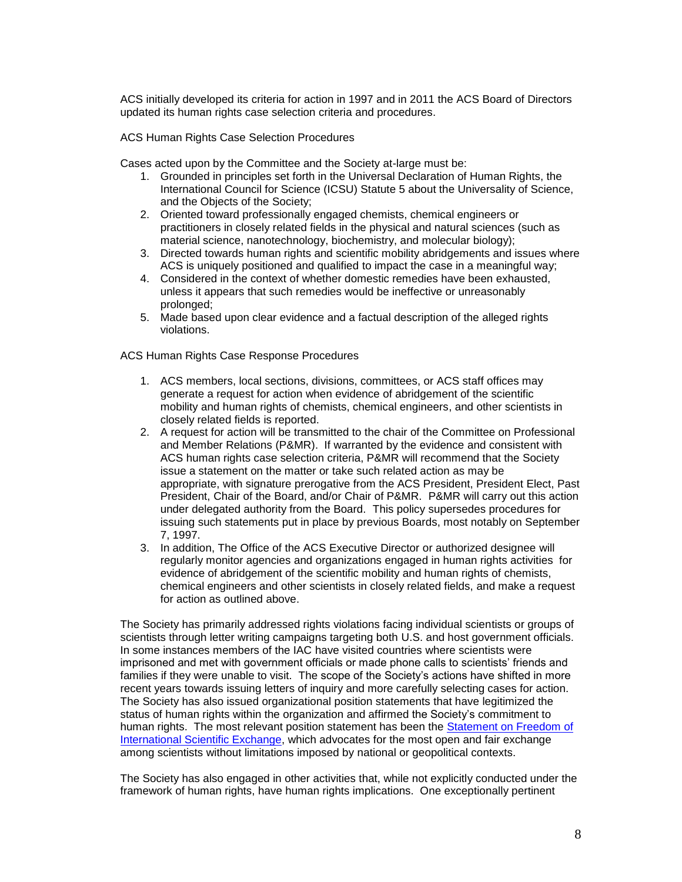ACS initially developed its criteria for action in 1997 and in 2011 the ACS Board of Directors updated its human rights case selection criteria and procedures.

ACS Human Rights Case Selection Procedures

Cases acted upon by the Committee and the Society at-large must be:

- 1. Grounded in principles set forth in the Universal Declaration of Human Rights, the International Council for Science (ICSU) Statute 5 about the Universality of Science, and the Objects of the Society;
- 2. Oriented toward professionally engaged chemists, chemical engineers or practitioners in closely related fields in the physical and natural sciences (such as material science, nanotechnology, biochemistry, and molecular biology);
- 3. Directed towards human rights and scientific mobility abridgements and issues where ACS is uniquely positioned and qualified to impact the case in a meaningful way;
- 4. Considered in the context of whether domestic remedies have been exhausted, unless it appears that such remedies would be ineffective or unreasonably prolonged;
- 5. Made based upon clear evidence and a factual description of the alleged rights violations.

ACS Human Rights Case Response Procedures

- 1. ACS members, local sections, divisions, committees, or ACS staff offices may generate a request for action when evidence of abridgement of the scientific mobility and human rights of chemists, chemical engineers, and other scientists in closely related fields is reported.
- 2. A request for action will be transmitted to the chair of the Committee on Professional and Member Relations (P&MR). If warranted by the evidence and consistent with ACS human rights case selection criteria, P&MR will recommend that the Society issue a statement on the matter or take such related action as may be appropriate, with signature prerogative from the ACS President, President Elect, Past President, Chair of the Board, and/or Chair of P&MR. P&MR will carry out this action under delegated authority from the Board. This policy supersedes procedures for issuing such statements put in place by previous Boards, most notably on September 7, 1997.
- 3. In addition, The Office of the ACS Executive Director or authorized designee will regularly monitor agencies and organizations engaged in human rights activities for evidence of abridgement of the scientific mobility and human rights of chemists, chemical engineers and other scientists in closely related fields, and make a request for action as outlined above.

The Society has primarily addressed rights violations facing individual scientists or groups of scientists through letter writing campaigns targeting both U.S. and host government officials. In some instances members of the IAC have visited countries where scientists were imprisoned and met with government officials or made phone calls to scientists' friends and families if they were unable to visit. The scope of the Society's actions have shifted in more recent years towards issuing letters of inquiry and more carefully selecting cases for action. The Society has also issued organizational position statements that have legitimized the status of human rights within the organization and affirmed the Society's commitment to human rights. The most relevant position statement has been the [Statement on Freedom of](http://portal.acs.org/portal/acs/corg/content?_nfpb=true&_pageLabel=PP_SUPERARTICLE&node_id=1900&use_sec=false&sec_url_var=region1&__uuid=ec2156cb-c4c2-4951-8a0b-fb7a0adafa99)  [International Scientific Exchange,](http://portal.acs.org/portal/acs/corg/content?_nfpb=true&_pageLabel=PP_SUPERARTICLE&node_id=1900&use_sec=false&sec_url_var=region1&__uuid=ec2156cb-c4c2-4951-8a0b-fb7a0adafa99) which advocates for the most open and fair exchange among scientists without limitations imposed by national or geopolitical contexts.

The Society has also engaged in other activities that, while not explicitly conducted under the framework of human rights, have human rights implications. One exceptionally pertinent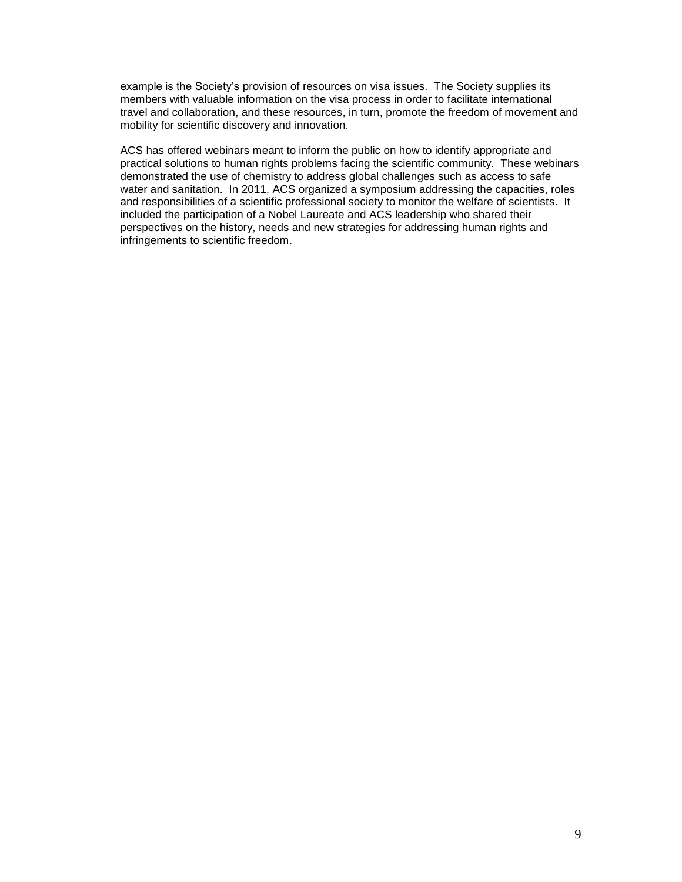example is the Society's provision of resources on visa issues. The Society supplies its members with valuable information on the visa process in order to facilitate international travel and collaboration, and these resources, in turn, promote the freedom of movement and mobility for scientific discovery and innovation.

ACS has offered webinars meant to inform the public on how to identify appropriate and practical solutions to human rights problems facing the scientific community. These webinars demonstrated the use of chemistry to address global challenges such as access to safe water and sanitation. In 2011, ACS organized a symposium addressing the capacities, roles and responsibilities of a scientific professional society to monitor the welfare of scientists. It included the participation of a Nobel Laureate and ACS leadership who shared their perspectives on the history, needs and new strategies for addressing human rights and infringements to scientific freedom.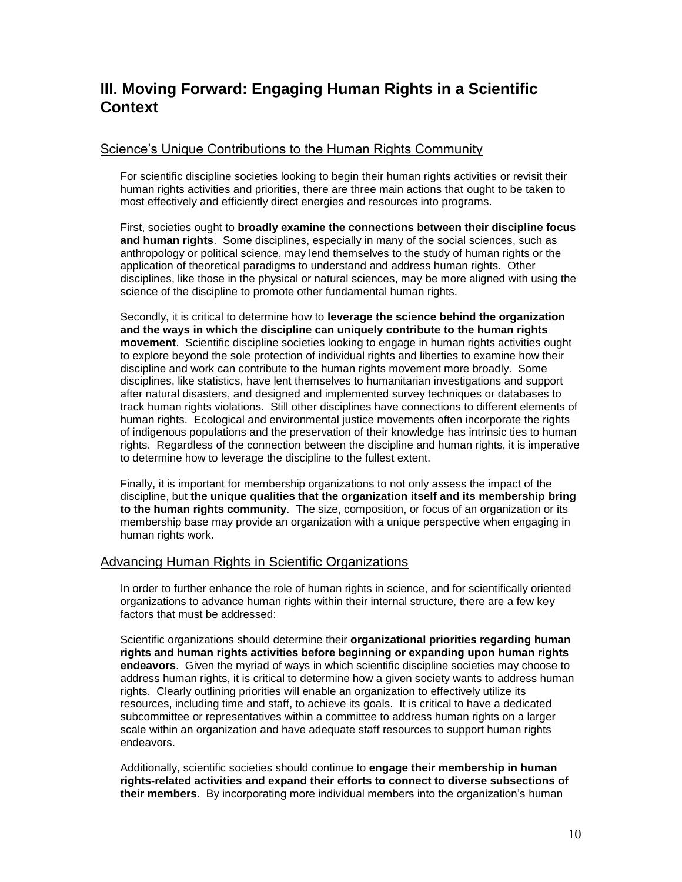# **III. Moving Forward: Engaging Human Rights in a Scientific Context**

## Science's Unique Contributions to the Human Rights Community

For scientific discipline societies looking to begin their human rights activities or revisit their human rights activities and priorities, there are three main actions that ought to be taken to most effectively and efficiently direct energies and resources into programs.

First, societies ought to **broadly examine the connections between their discipline focus and human rights**. Some disciplines, especially in many of the social sciences, such as anthropology or political science, may lend themselves to the study of human rights or the application of theoretical paradigms to understand and address human rights. Other disciplines, like those in the physical or natural sciences, may be more aligned with using the science of the discipline to promote other fundamental human rights.

Secondly, it is critical to determine how to **leverage the science behind the organization and the ways in which the discipline can uniquely contribute to the human rights movement**. Scientific discipline societies looking to engage in human rights activities ought to explore beyond the sole protection of individual rights and liberties to examine how their discipline and work can contribute to the human rights movement more broadly. Some disciplines, like statistics, have lent themselves to humanitarian investigations and support after natural disasters, and designed and implemented survey techniques or databases to track human rights violations. Still other disciplines have connections to different elements of human rights. Ecological and environmental justice movements often incorporate the rights of indigenous populations and the preservation of their knowledge has intrinsic ties to human rights. Regardless of the connection between the discipline and human rights, it is imperative to determine how to leverage the discipline to the fullest extent.

Finally, it is important for membership organizations to not only assess the impact of the discipline, but **the unique qualities that the organization itself and its membership bring to the human rights community**. The size, composition, or focus of an organization or its membership base may provide an organization with a unique perspective when engaging in human rights work.

## Advancing Human Rights in Scientific Organizations

In order to further enhance the role of human rights in science, and for scientifically oriented organizations to advance human rights within their internal structure, there are a few key factors that must be addressed:

Scientific organizations should determine their **organizational priorities regarding human rights and human rights activities before beginning or expanding upon human rights endeavors**. Given the myriad of ways in which scientific discipline societies may choose to address human rights, it is critical to determine how a given society wants to address human rights. Clearly outlining priorities will enable an organization to effectively utilize its resources, including time and staff, to achieve its goals. It is critical to have a dedicated subcommittee or representatives within a committee to address human rights on a larger scale within an organization and have adequate staff resources to support human rights endeavors.

Additionally, scientific societies should continue to **engage their membership in human rights-related activities and expand their efforts to connect to diverse subsections of their members**. By incorporating more individual members into the organization's human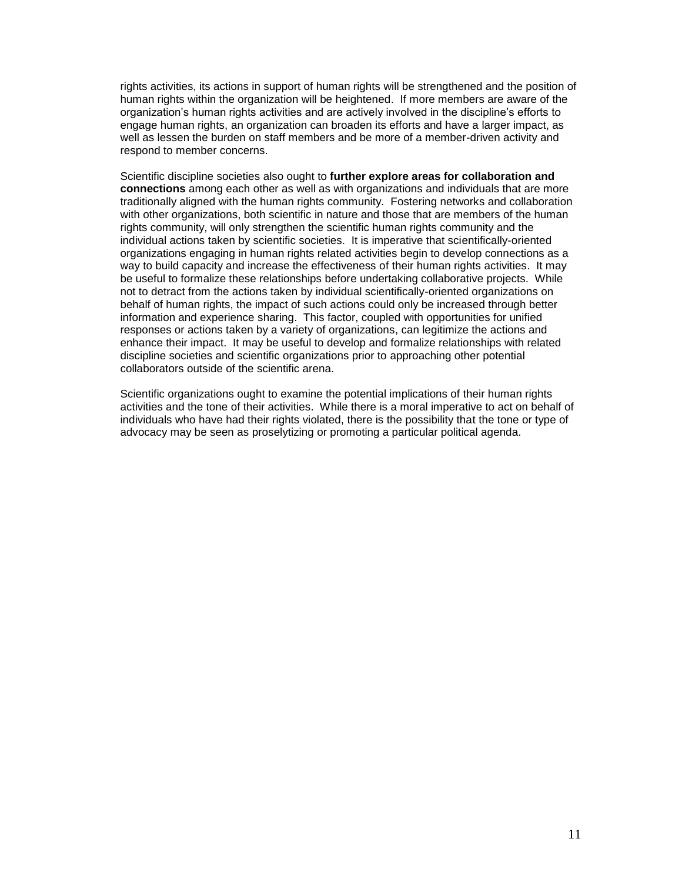rights activities, its actions in support of human rights will be strengthened and the position of human rights within the organization will be heightened. If more members are aware of the organization's human rights activities and are actively involved in the discipline's efforts to engage human rights, an organization can broaden its efforts and have a larger impact, as well as lessen the burden on staff members and be more of a member-driven activity and respond to member concerns.

Scientific discipline societies also ought to **further explore areas for collaboration and connections** among each other as well as with organizations and individuals that are more traditionally aligned with the human rights community. Fostering networks and collaboration with other organizations, both scientific in nature and those that are members of the human rights community, will only strengthen the scientific human rights community and the individual actions taken by scientific societies. It is imperative that scientifically-oriented organizations engaging in human rights related activities begin to develop connections as a way to build capacity and increase the effectiveness of their human rights activities. It may be useful to formalize these relationships before undertaking collaborative projects. While not to detract from the actions taken by individual scientifically-oriented organizations on behalf of human rights, the impact of such actions could only be increased through better information and experience sharing. This factor, coupled with opportunities for unified responses or actions taken by a variety of organizations, can legitimize the actions and enhance their impact. It may be useful to develop and formalize relationships with related discipline societies and scientific organizations prior to approaching other potential collaborators outside of the scientific arena.

Scientific organizations ought to examine the potential implications of their human rights activities and the tone of their activities. While there is a moral imperative to act on behalf of individuals who have had their rights violated, there is the possibility that the tone or type of advocacy may be seen as proselytizing or promoting a particular political agenda.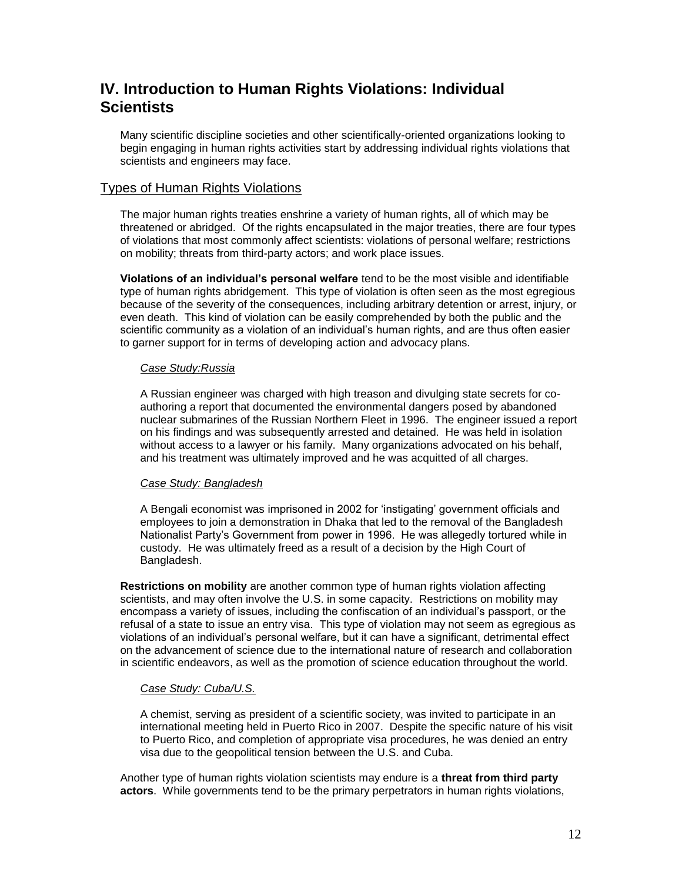# **IV. Introduction to Human Rights Violations: Individual Scientists**

Many scientific discipline societies and other scientifically-oriented organizations looking to begin engaging in human rights activities start by addressing individual rights violations that scientists and engineers may face.

## Types of Human Rights Violations

The major human rights treaties enshrine a variety of human rights, all of which may be threatened or abridged. Of the rights encapsulated in the major treaties, there are four types of violations that most commonly affect scientists: violations of personal welfare; restrictions on mobility; threats from third-party actors; and work place issues.

**Violations of an individual's personal welfare** tend to be the most visible and identifiable type of human rights abridgement. This type of violation is often seen as the most egregious because of the severity of the consequences, including arbitrary detention or arrest, injury, or even death. This kind of violation can be easily comprehended by both the public and the scientific community as a violation of an individual's human rights, and are thus often easier to garner support for in terms of developing action and advocacy plans.

#### *Case Study:Russia*

A Russian engineer was charged with high treason and divulging state secrets for coauthoring a report that documented the environmental dangers posed by abandoned nuclear submarines of the Russian Northern Fleet in 1996. The engineer issued a report on his findings and was subsequently arrested and detained. He was held in isolation without access to a lawyer or his family. Many organizations advocated on his behalf, and his treatment was ultimately improved and he was acquitted of all charges.

#### *Case Study: Bangladesh*

A Bengali economist was imprisoned in 2002 for 'instigating' government officials and employees to join a demonstration in Dhaka that led to the removal of the Bangladesh Nationalist Party's Government from power in 1996. He was allegedly tortured while in custody. He was ultimately freed as a result of a decision by the High Court of Bangladesh.

**Restrictions on mobility** are another common type of human rights violation affecting scientists, and may often involve the U.S. in some capacity. Restrictions on mobility may encompass a variety of issues, including the confiscation of an individual's passport, or the refusal of a state to issue an entry visa. This type of violation may not seem as egregious as violations of an individual's personal welfare, but it can have a significant, detrimental effect on the advancement of science due to the international nature of research and collaboration in scientific endeavors, as well as the promotion of science education throughout the world.

#### *Case Study: Cuba/U.S.*

A chemist, serving as president of a scientific society, was invited to participate in an international meeting held in Puerto Rico in 2007. Despite the specific nature of his visit to Puerto Rico, and completion of appropriate visa procedures, he was denied an entry visa due to the geopolitical tension between the U.S. and Cuba.

Another type of human rights violation scientists may endure is a **threat from third party actors**. While governments tend to be the primary perpetrators in human rights violations,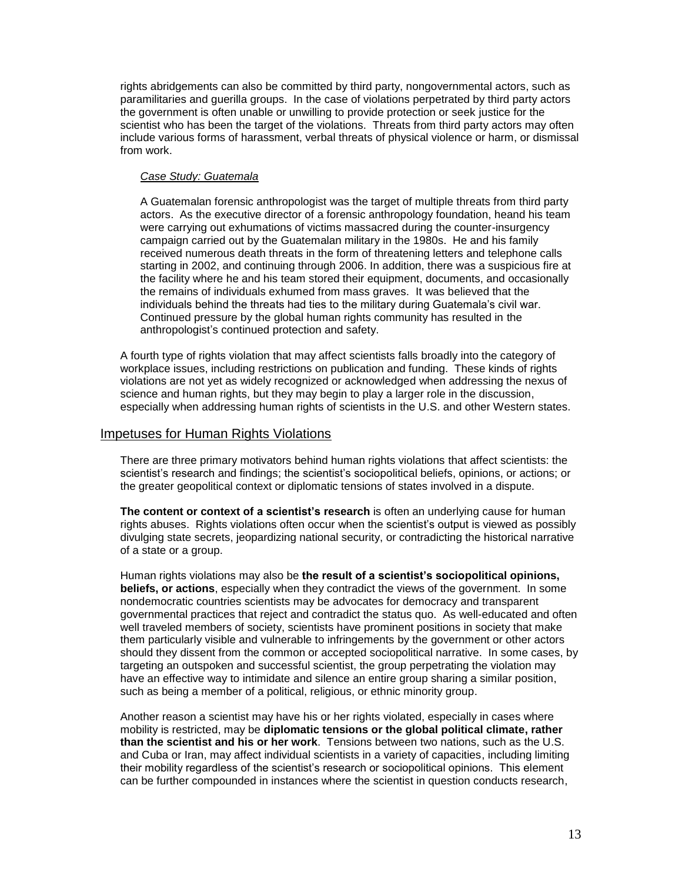rights abridgements can also be committed by third party, nongovernmental actors, such as paramilitaries and guerilla groups. In the case of violations perpetrated by third party actors the government is often unable or unwilling to provide protection or seek justice for the scientist who has been the target of the violations. Threats from third party actors may often include various forms of harassment, verbal threats of physical violence or harm, or dismissal from work.

#### *Case Study: Guatemala*

A Guatemalan forensic anthropologist was the target of multiple threats from third party actors. As the executive director of a forensic anthropology foundation, heand his team were carrying out exhumations of victims massacred during the counter-insurgency campaign carried out by the Guatemalan military in the 1980s. He and his family received numerous death threats in the form of threatening letters and telephone calls starting in 2002, and continuing through 2006. In addition, there was a suspicious fire at the facility where he and his team stored their equipment, documents, and occasionally the remains of individuals exhumed from mass graves. It was believed that the individuals behind the threats had ties to the military during Guatemala's civil war. Continued pressure by the global human rights community has resulted in the anthropologist's continued protection and safety.

A fourth type of rights violation that may affect scientists falls broadly into the category of workplace issues, including restrictions on publication and funding. These kinds of rights violations are not yet as widely recognized or acknowledged when addressing the nexus of science and human rights, but they may begin to play a larger role in the discussion, especially when addressing human rights of scientists in the U.S. and other Western states.

### Impetuses for Human Rights Violations

There are three primary motivators behind human rights violations that affect scientists: the scientist's research and findings; the scientist's sociopolitical beliefs, opinions, or actions; or the greater geopolitical context or diplomatic tensions of states involved in a dispute.

**The content or context of a scientist's research** is often an underlying cause for human rights abuses. Rights violations often occur when the scientist's output is viewed as possibly divulging state secrets, jeopardizing national security, or contradicting the historical narrative of a state or a group.

Human rights violations may also be **the result of a scientist's sociopolitical opinions, beliefs, or actions**, especially when they contradict the views of the government. In some nondemocratic countries scientists may be advocates for democracy and transparent governmental practices that reject and contradict the status quo. As well-educated and often well traveled members of society, scientists have prominent positions in society that make them particularly visible and vulnerable to infringements by the government or other actors should they dissent from the common or accepted sociopolitical narrative. In some cases, by targeting an outspoken and successful scientist, the group perpetrating the violation may have an effective way to intimidate and silence an entire group sharing a similar position, such as being a member of a political, religious, or ethnic minority group.

Another reason a scientist may have his or her rights violated, especially in cases where mobility is restricted, may be **diplomatic tensions or the global political climate, rather than the scientist and his or her work**. Tensions between two nations, such as the U.S. and Cuba or Iran, may affect individual scientists in a variety of capacities, including limiting their mobility regardless of the scientist's research or sociopolitical opinions. This element can be further compounded in instances where the scientist in question conducts research,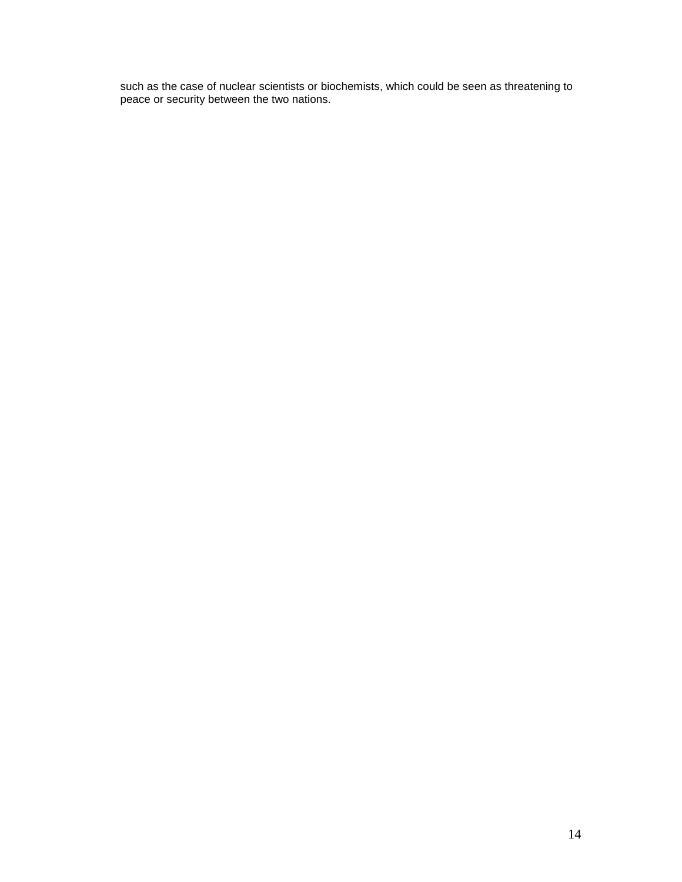such as the case of nuclear scientists or biochemists, which could be seen as threatening to peace or security between the two nations.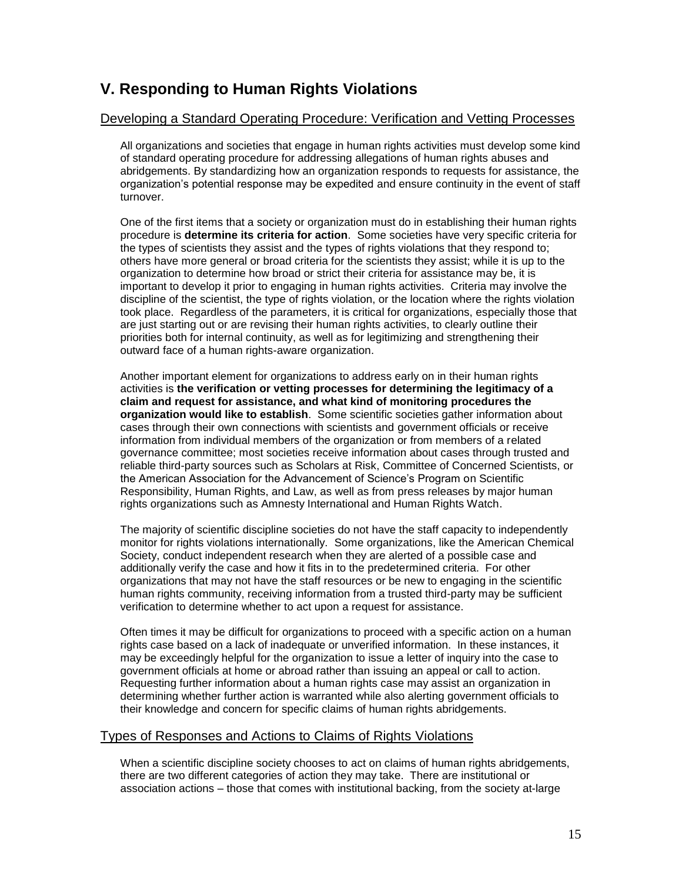# **V. Responding to Human Rights Violations**

### Developing a Standard Operating Procedure: Verification and Vetting Processes

All organizations and societies that engage in human rights activities must develop some kind of standard operating procedure for addressing allegations of human rights abuses and abridgements. By standardizing how an organization responds to requests for assistance, the organization's potential response may be expedited and ensure continuity in the event of staff turnover.

One of the first items that a society or organization must do in establishing their human rights procedure is **determine its criteria for action**. Some societies have very specific criteria for the types of scientists they assist and the types of rights violations that they respond to; others have more general or broad criteria for the scientists they assist; while it is up to the organization to determine how broad or strict their criteria for assistance may be, it is important to develop it prior to engaging in human rights activities. Criteria may involve the discipline of the scientist, the type of rights violation, or the location where the rights violation took place. Regardless of the parameters, it is critical for organizations, especially those that are just starting out or are revising their human rights activities, to clearly outline their priorities both for internal continuity, as well as for legitimizing and strengthening their outward face of a human rights-aware organization.

Another important element for organizations to address early on in their human rights activities is **the verification or vetting processes for determining the legitimacy of a claim and request for assistance, and what kind of monitoring procedures the organization would like to establish**. Some scientific societies gather information about cases through their own connections with scientists and government officials or receive information from individual members of the organization or from members of a related governance committee; most societies receive information about cases through trusted and reliable third-party sources such as Scholars at Risk, Committee of Concerned Scientists, or the American Association for the Advancement of Science's Program on Scientific Responsibility, Human Rights, and Law, as well as from press releases by major human rights organizations such as Amnesty International and Human Rights Watch.

The majority of scientific discipline societies do not have the staff capacity to independently monitor for rights violations internationally. Some organizations, like the American Chemical Society, conduct independent research when they are alerted of a possible case and additionally verify the case and how it fits in to the predetermined criteria. For other organizations that may not have the staff resources or be new to engaging in the scientific human rights community, receiving information from a trusted third-party may be sufficient verification to determine whether to act upon a request for assistance.

Often times it may be difficult for organizations to proceed with a specific action on a human rights case based on a lack of inadequate or unverified information. In these instances, it may be exceedingly helpful for the organization to issue a letter of inquiry into the case to government officials at home or abroad rather than issuing an appeal or call to action. Requesting further information about a human rights case may assist an organization in determining whether further action is warranted while also alerting government officials to their knowledge and concern for specific claims of human rights abridgements.

### Types of Responses and Actions to Claims of Rights Violations

When a scientific discipline society chooses to act on claims of human rights abridgements, there are two different categories of action they may take. There are institutional or association actions – those that comes with institutional backing, from the society at-large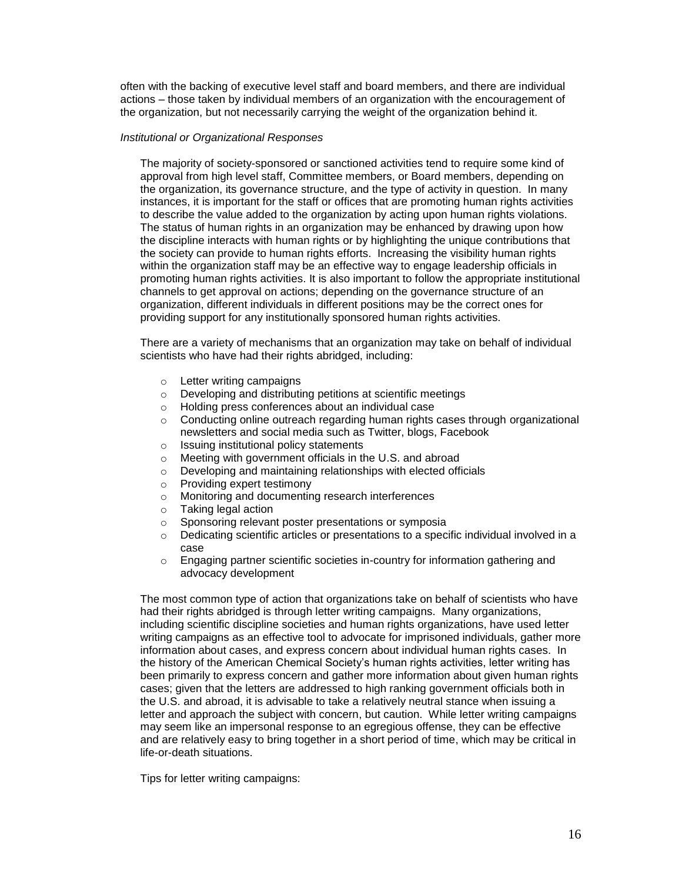often with the backing of executive level staff and board members, and there are individual actions – those taken by individual members of an organization with the encouragement of the organization, but not necessarily carrying the weight of the organization behind it.

#### *Institutional or Organizational Responses*

The majority of society-sponsored or sanctioned activities tend to require some kind of approval from high level staff, Committee members, or Board members, depending on the organization, its governance structure, and the type of activity in question. In many instances, it is important for the staff or offices that are promoting human rights activities to describe the value added to the organization by acting upon human rights violations. The status of human rights in an organization may be enhanced by drawing upon how the discipline interacts with human rights or by highlighting the unique contributions that the society can provide to human rights efforts. Increasing the visibility human rights within the organization staff may be an effective way to engage leadership officials in promoting human rights activities. It is also important to follow the appropriate institutional channels to get approval on actions; depending on the governance structure of an organization, different individuals in different positions may be the correct ones for providing support for any institutionally sponsored human rights activities.

There are a variety of mechanisms that an organization may take on behalf of individual scientists who have had their rights abridged, including:

- o Letter writing campaigns
- o Developing and distributing petitions at scientific meetings
- o Holding press conferences about an individual case
- $\circ$  Conducting online outreach regarding human rights cases through organizational newsletters and social media such as Twitter, blogs, Facebook
- o Issuing institutional policy statements
- o Meeting with government officials in the U.S. and abroad
- o Developing and maintaining relationships with elected officials
- o Providing expert testimony
- o Monitoring and documenting research interferences
- o Taking legal action
- o Sponsoring relevant poster presentations or symposia
- $\circ$  Dedicating scientific articles or presentations to a specific individual involved in a case
- $\circ$  Engaging partner scientific societies in-country for information gathering and advocacy development

The most common type of action that organizations take on behalf of scientists who have had their rights abridged is through letter writing campaigns. Many organizations, including scientific discipline societies and human rights organizations, have used letter writing campaigns as an effective tool to advocate for imprisoned individuals, gather more information about cases, and express concern about individual human rights cases. In the history of the American Chemical Society's human rights activities, letter writing has been primarily to express concern and gather more information about given human rights cases; given that the letters are addressed to high ranking government officials both in the U.S. and abroad, it is advisable to take a relatively neutral stance when issuing a letter and approach the subject with concern, but caution. While letter writing campaigns may seem like an impersonal response to an egregious offense, they can be effective and are relatively easy to bring together in a short period of time, which may be critical in life-or-death situations.

Tips for letter writing campaigns: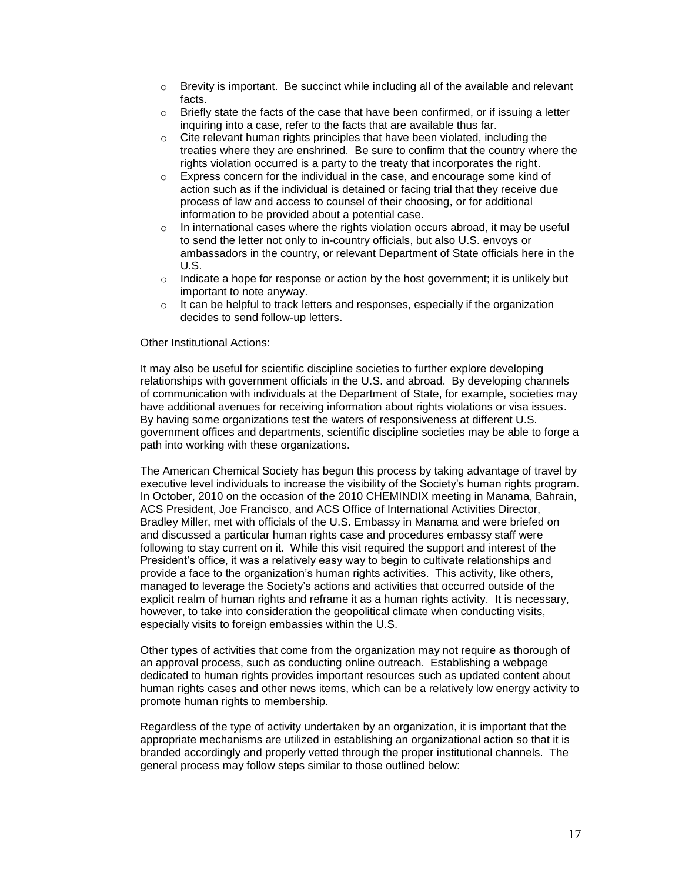- o Brevity is important. Be succinct while including all of the available and relevant facts.
- $\circ$  Briefly state the facts of the case that have been confirmed, or if issuing a letter inquiring into a case, refer to the facts that are available thus far.
- $\circ$  Cite relevant human rights principles that have been violated, including the treaties where they are enshrined. Be sure to confirm that the country where the rights violation occurred is a party to the treaty that incorporates the right.
- $\circ$  Express concern for the individual in the case, and encourage some kind of action such as if the individual is detained or facing trial that they receive due process of law and access to counsel of their choosing, or for additional information to be provided about a potential case.
- $\circ$  In international cases where the rights violation occurs abroad, it may be useful to send the letter not only to in-country officials, but also U.S. envoys or ambassadors in the country, or relevant Department of State officials here in the U.S.
- $\circ$  Indicate a hope for response or action by the host government; it is unlikely but important to note anyway.
- $\circ$  It can be helpful to track letters and responses, especially if the organization decides to send follow-up letters.

#### Other Institutional Actions:

It may also be useful for scientific discipline societies to further explore developing relationships with government officials in the U.S. and abroad. By developing channels of communication with individuals at the Department of State, for example, societies may have additional avenues for receiving information about rights violations or visa issues. By having some organizations test the waters of responsiveness at different U.S. government offices and departments, scientific discipline societies may be able to forge a path into working with these organizations.

The American Chemical Society has begun this process by taking advantage of travel by executive level individuals to increase the visibility of the Society's human rights program. In October, 2010 on the occasion of the 2010 CHEMINDIX meeting in Manama, Bahrain, ACS President, Joe Francisco, and ACS Office of International Activities Director, Bradley Miller, met with officials of the U.S. Embassy in Manama and were briefed on and discussed a particular human rights case and procedures embassy staff were following to stay current on it. While this visit required the support and interest of the President's office, it was a relatively easy way to begin to cultivate relationships and provide a face to the organization's human rights activities. This activity, like others, managed to leverage the Society's actions and activities that occurred outside of the explicit realm of human rights and reframe it as a human rights activity. It is necessary, however, to take into consideration the geopolitical climate when conducting visits, especially visits to foreign embassies within the U.S.

Other types of activities that come from the organization may not require as thorough of an approval process, such as conducting online outreach. Establishing a webpage dedicated to human rights provides important resources such as updated content about human rights cases and other news items, which can be a relatively low energy activity to promote human rights to membership.

Regardless of the type of activity undertaken by an organization, it is important that the appropriate mechanisms are utilized in establishing an organizational action so that it is branded accordingly and properly vetted through the proper institutional channels. The general process may follow steps similar to those outlined below: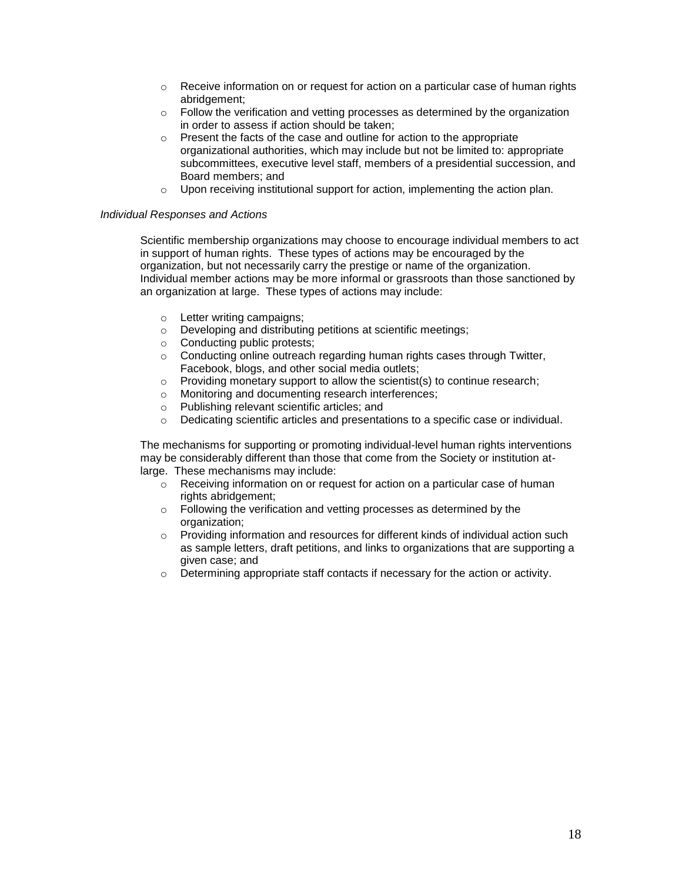- $\circ$  Receive information on or request for action on a particular case of human rights abridgement;
- $\circ$  Follow the verification and vetting processes as determined by the organization in order to assess if action should be taken;
- $\circ$  Present the facts of the case and outline for action to the appropriate organizational authorities, which may include but not be limited to: appropriate subcommittees, executive level staff, members of a presidential succession, and Board members; and
- $\circ$  Upon receiving institutional support for action, implementing the action plan.

#### *Individual Responses and Actions*

Scientific membership organizations may choose to encourage individual members to act in support of human rights. These types of actions may be encouraged by the organization, but not necessarily carry the prestige or name of the organization. Individual member actions may be more informal or grassroots than those sanctioned by an organization at large. These types of actions may include:

- o Letter writing campaigns;
- o Developing and distributing petitions at scientific meetings;
- o Conducting public protests;
- o Conducting online outreach regarding human rights cases through Twitter, Facebook, blogs, and other social media outlets;
- o Providing monetary support to allow the scientist(s) to continue research;
- o Monitoring and documenting research interferences;
- o Publishing relevant scientific articles; and
- o Dedicating scientific articles and presentations to a specific case or individual.

The mechanisms for supporting or promoting individual-level human rights interventions may be considerably different than those that come from the Society or institution atlarge. These mechanisms may include:

- o Receiving information on or request for action on a particular case of human rights abridgement;
- o Following the verification and vetting processes as determined by the organization;
- $\circ$  Providing information and resources for different kinds of individual action such as sample letters, draft petitions, and links to organizations that are supporting a given case; and
- $\circ$  Determining appropriate staff contacts if necessary for the action or activity.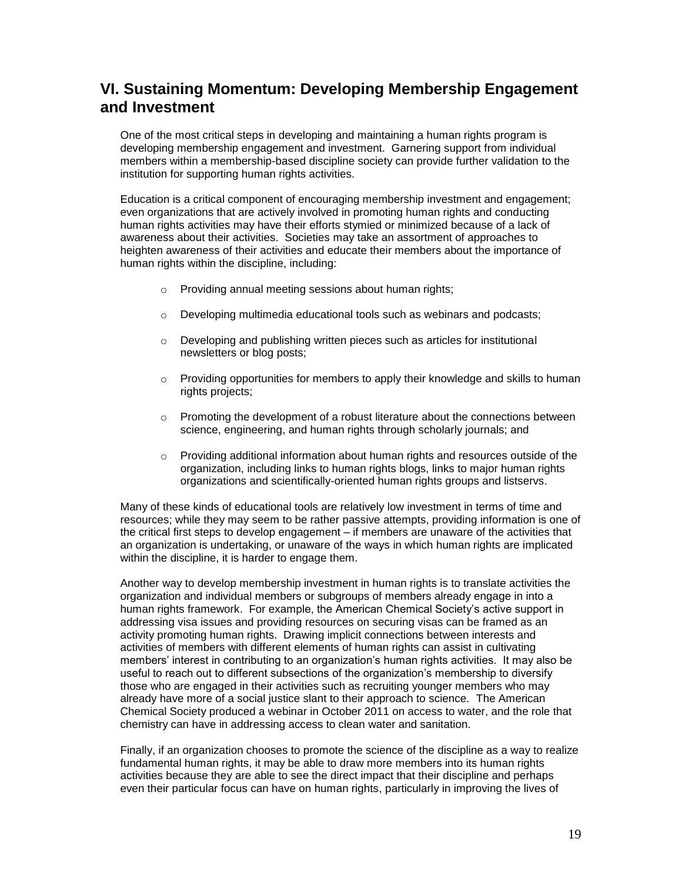# **VI. Sustaining Momentum: Developing Membership Engagement and Investment**

One of the most critical steps in developing and maintaining a human rights program is developing membership engagement and investment. Garnering support from individual members within a membership-based discipline society can provide further validation to the institution for supporting human rights activities.

Education is a critical component of encouraging membership investment and engagement; even organizations that are actively involved in promoting human rights and conducting human rights activities may have their efforts stymied or minimized because of a lack of awareness about their activities. Societies may take an assortment of approaches to heighten awareness of their activities and educate their members about the importance of human rights within the discipline, including:

- o Providing annual meeting sessions about human rights;
- $\circ$  Developing multimedia educational tools such as webinars and podcasts:
- o Developing and publishing written pieces such as articles for institutional newsletters or blog posts;
- $\circ$  Providing opportunities for members to apply their knowledge and skills to human rights projects;
- $\circ$  Promoting the development of a robust literature about the connections between science, engineering, and human rights through scholarly journals; and
- $\circ$  Providing additional information about human rights and resources outside of the organization, including links to human rights blogs, links to major human rights organizations and scientifically-oriented human rights groups and listservs.

Many of these kinds of educational tools are relatively low investment in terms of time and resources; while they may seem to be rather passive attempts, providing information is one of the critical first steps to develop engagement – if members are unaware of the activities that an organization is undertaking, or unaware of the ways in which human rights are implicated within the discipline, it is harder to engage them.

Another way to develop membership investment in human rights is to translate activities the organization and individual members or subgroups of members already engage in into a human rights framework. For example, the American Chemical Society's active support in addressing visa issues and providing resources on securing visas can be framed as an activity promoting human rights. Drawing implicit connections between interests and activities of members with different elements of human rights can assist in cultivating members' interest in contributing to an organization's human rights activities. It may also be useful to reach out to different subsections of the organization's membership to diversify those who are engaged in their activities such as recruiting younger members who may already have more of a social justice slant to their approach to science. The American Chemical Society produced a webinar in October 2011 on access to water, and the role that chemistry can have in addressing access to clean water and sanitation.

Finally, if an organization chooses to promote the science of the discipline as a way to realize fundamental human rights, it may be able to draw more members into its human rights activities because they are able to see the direct impact that their discipline and perhaps even their particular focus can have on human rights, particularly in improving the lives of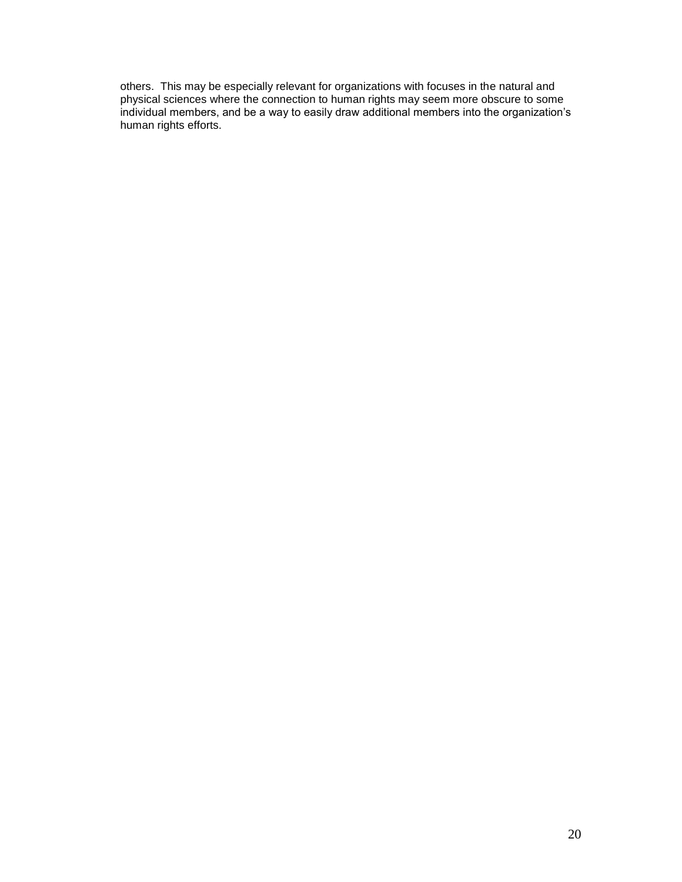others. This may be especially relevant for organizations with focuses in the natural and physical sciences where the connection to human rights may seem more obscure to some individual members, and be a way to easily draw additional members into the organization's human rights efforts.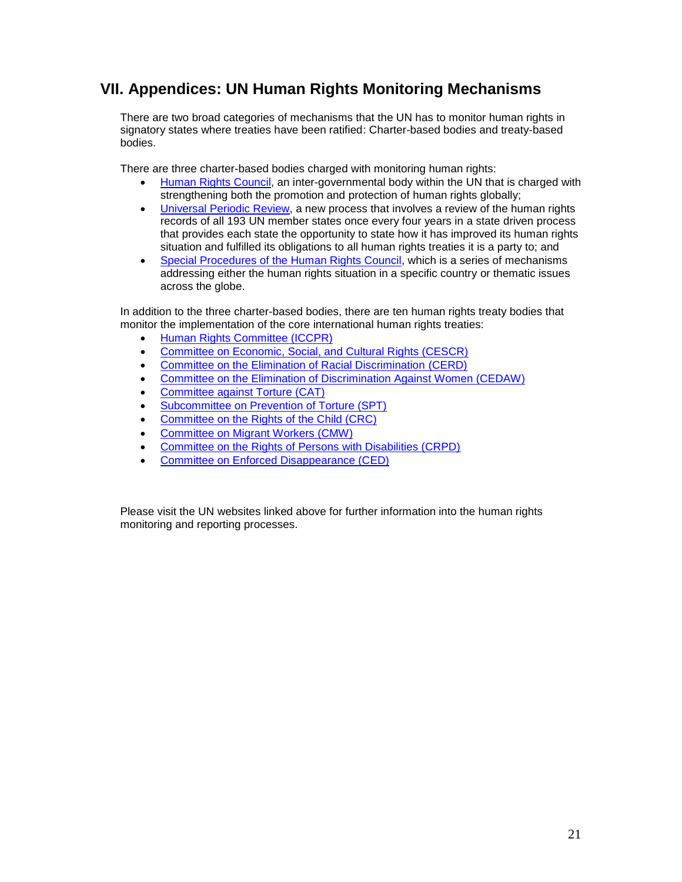# **VII. Appendices: UN Human Rights Monitoring Mechanisms**

There are two broad categories of mechanisms that the UN has to monitor human rights in signatory states where treaties have been ratified: Charter-based bodies and treaty-based bodies.

There are three charter-based bodies charged with monitoring human rights:

- [Human Rights Council,](http://www2.ohchr.org/english/bodies/hrcouncil/) an inter-governmental body within the UN that is charged with strengthening both the promotion and protection of human rights globally;
- [Universal Periodic Review,](http://www.ohchr.org/EN/HRBodies/UPR/Pages/UPRMain.aspx) a new process that involves a review of the human rights records of all 193 UN member states once every four years in a state driven process that provides each state the opportunity to state how it has improved its human rights situation and fulfilled its obligations to all human rights treaties it is a party to; and
- [Special Procedures of the Human Rights Council,](http://www2.ohchr.org/english/bodies/chr/special/index.htm) which is a series of mechanisms addressing either the human rights situation in a specific country or thematic issues across the globe.

In addition to the three charter-based bodies, there are ten human rights treaty bodies that monitor the implementation of the core international human rights treaties:

- [Human Rights Committee \(ICCPR\)](http://www2.ohchr.org/english/bodies/hrc/index.htm)
- [Committee on Economic, Social, and Cultural Rights \(CESCR\)](http://www2.ohchr.org/english/bodies/cescr/index.htm)
- [Committee on the Elimination of Racial Discrimination](http://www2.ohchr.org/english/bodies/cerd/index.htm) (CERD)
- [Committee on the Elimination of Discrimination Against Women \(CEDAW\)](http://www2.ohchr.org/english/bodies/cedaw/index.htm)
- [Committee against Torture \(CAT\)](http://www2.ohchr.org/english/bodies/cat/index.htm)
- **[Subcommittee on Prevention of Torture \(SPT\)](http://www2.ohchr.org/english/bodies/cat/opcat/index.htm)**
- [Committee on the Rights of the Child \(CRC\)](http://www2.ohchr.org/english/bodies/crc/index.htm)
- [Committee on Migrant Workers \(CMW\)](http://www2.ohchr.org/english/bodies/cmw/index.htm)
- [Committee on the Rights of Persons with Disabilities \(CRPD\)](http://www.ohchr.org/EN/HRBodies/CRPD/Pages/CRPDIndex.aspx)
- [Committee on Enforced Disappearance \(CED\)](http://www.ohchr.org/EN/HRBodies/CED/Pages/CEDIndex.aspx)

Please visit the UN websites linked above for further information into the human rights monitoring and reporting processes.